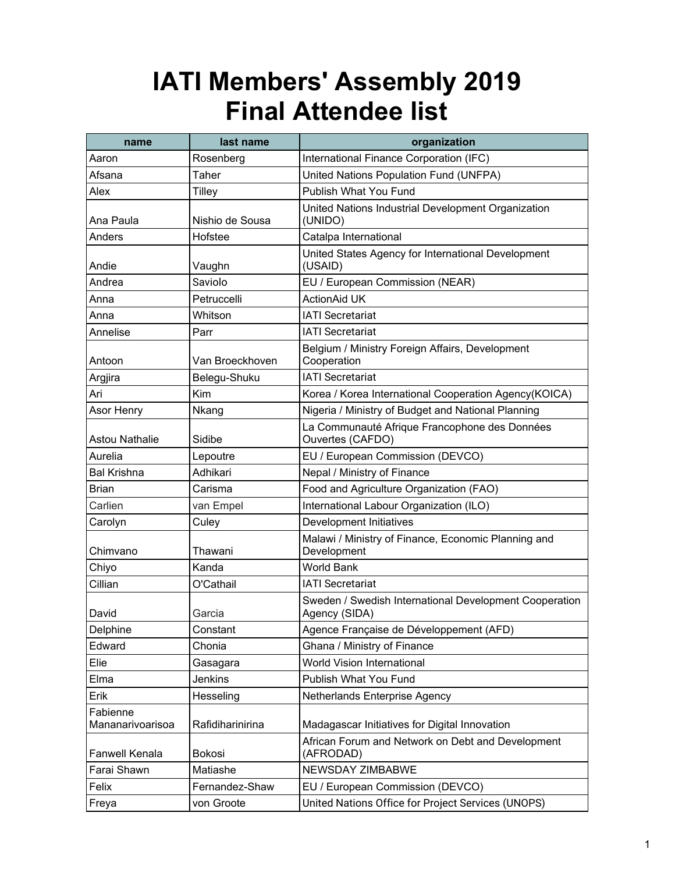| name                         | last name        | organization                                                            |
|------------------------------|------------------|-------------------------------------------------------------------------|
| Aaron                        | Rosenberg        | International Finance Corporation (IFC)                                 |
| Afsana                       | Taher            | United Nations Population Fund (UNFPA)                                  |
| Alex                         | <b>Tilley</b>    | Publish What You Fund                                                   |
| Ana Paula                    | Nishio de Sousa  | United Nations Industrial Development Organization<br>(UNIDO)           |
| Anders                       | Hofstee          | Catalpa International                                                   |
| Andie                        | Vaughn           | United States Agency for International Development<br>(USAID)           |
| Andrea                       | Saviolo          | EU / European Commission (NEAR)                                         |
| Anna                         | Petruccelli      | <b>ActionAid UK</b>                                                     |
| Anna                         | Whitson          | <b>IATI Secretariat</b>                                                 |
| Annelise                     | Parr             | <b>IATI Secretariat</b>                                                 |
| Antoon                       | Van Broeckhoven  | Belgium / Ministry Foreign Affairs, Development<br>Cooperation          |
| Argjira                      | Belegu-Shuku     | <b>IATI Secretariat</b>                                                 |
| Ari                          | Kim              | Korea / Korea International Cooperation Agency(KOICA)                   |
| Asor Henry                   | Nkang            | Nigeria / Ministry of Budget and National Planning                      |
| <b>Astou Nathalie</b>        | Sidibe           | La Communauté Afrique Francophone des Données<br>Ouvertes (CAFDO)       |
| Aurelia                      | Lepoutre         | EU / European Commission (DEVCO)                                        |
| <b>Bal Krishna</b>           | Adhikari         | Nepal / Ministry of Finance                                             |
| <b>Brian</b>                 | Carisma          | Food and Agriculture Organization (FAO)                                 |
| Carlien                      | van Empel        | International Labour Organization (ILO)                                 |
| Carolyn                      | Culey            | Development Initiatives                                                 |
| Chimvano                     | Thawani          | Malawi / Ministry of Finance, Economic Planning and<br>Development      |
| Chiyo                        | Kanda            | <b>World Bank</b>                                                       |
| Cillian                      | O'Cathail        | <b>IATI Secretariat</b>                                                 |
| David                        | Garcia           | Sweden / Swedish International Development Cooperation<br>Agency (SIDA) |
| Delphine                     | Constant         | Agence Française de Développement (AFD)                                 |
| Edward                       | Chonia           | Ghana / Ministry of Finance                                             |
| Elie                         | Gasagara         | World Vision International                                              |
| Elma                         | Jenkins          | Publish What You Fund                                                   |
| Erik                         | Hesseling        | Netherlands Enterprise Agency                                           |
| Fabienne<br>Mananarivoarisoa | Rafidiharinirina | Madagascar Initiatives for Digital Innovation                           |
| Fanwell Kenala               | Bokosi           | African Forum and Network on Debt and Development<br>(AFRODAD)          |
| Farai Shawn                  | Matiashe         | <b>NEWSDAY ZIMBABWE</b>                                                 |
| Felix                        | Fernandez-Shaw   | EU / European Commission (DEVCO)                                        |
| Freya                        | von Groote       | United Nations Office for Project Services (UNOPS)                      |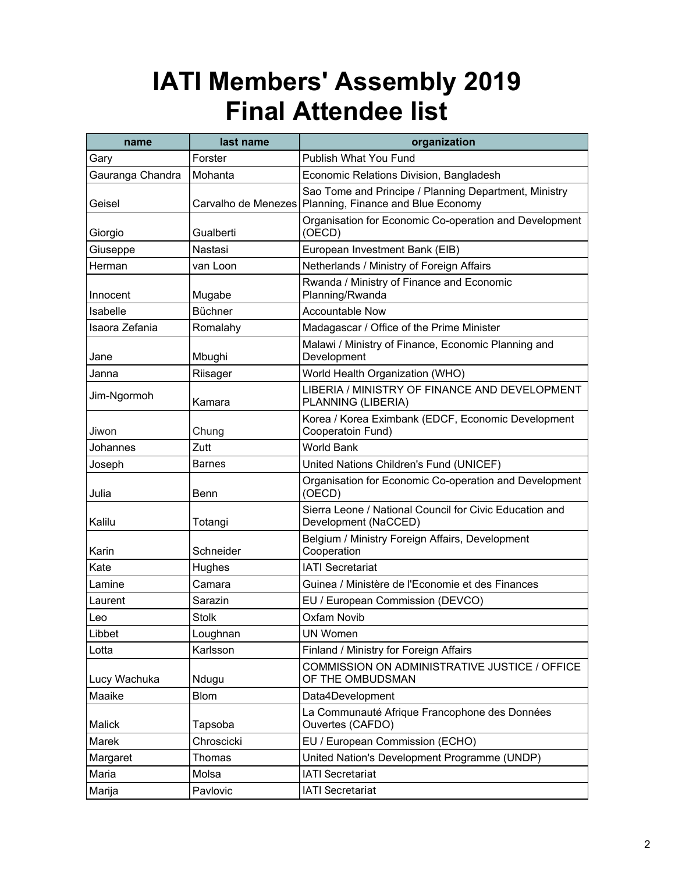| name             | last name    | organization                                                                                                    |
|------------------|--------------|-----------------------------------------------------------------------------------------------------------------|
| Gary             | Forster      | Publish What You Fund                                                                                           |
| Gauranga Chandra | Mohanta      | Economic Relations Division, Bangladesh                                                                         |
| Geisel           |              | Sao Tome and Principe / Planning Department, Ministry<br>Carvalho de Menezes Planning, Finance and Blue Economy |
| Giorgio          | Gualberti    | Organisation for Economic Co-operation and Development<br>(OECD)                                                |
| Giuseppe         | Nastasi      | European Investment Bank (EIB)                                                                                  |
| Herman           | van Loon     | Netherlands / Ministry of Foreign Affairs                                                                       |
| Innocent         | Mugabe       | Rwanda / Ministry of Finance and Economic<br>Planning/Rwanda                                                    |
| Isabelle         | Büchner      | <b>Accountable Now</b>                                                                                          |
| Isaora Zefania   | Romalahy     | Madagascar / Office of the Prime Minister                                                                       |
| Jane             | Mbughi       | Malawi / Ministry of Finance, Economic Planning and<br>Development                                              |
| Janna            | Riisager     | World Health Organization (WHO)                                                                                 |
| Jim-Ngormoh      | Kamara       | LIBERIA / MINISTRY OF FINANCE AND DEVELOPMENT<br>PLANNING (LIBERIA)                                             |
| Jiwon            | Chung        | Korea / Korea Eximbank (EDCF, Economic Development<br>Cooperatoin Fund)                                         |
| Johannes         | Zutt         | <b>World Bank</b>                                                                                               |
| Joseph           | Barnes       | United Nations Children's Fund (UNICEF)                                                                         |
| Julia            | Benn         | Organisation for Economic Co-operation and Development<br>(OECD)                                                |
| Kalilu           | Totangi      | Sierra Leone / National Council for Civic Education and<br>Development (NaCCED)                                 |
| Karin            | Schneider    | Belgium / Ministry Foreign Affairs, Development<br>Cooperation                                                  |
| Kate             | Hughes       | <b>IATI Secretariat</b>                                                                                         |
| Lamine           | Camara       | Guinea / Ministère de l'Economie et des Finances                                                                |
| Laurent          | Sarazin      | EU / European Commission (DEVCO)                                                                                |
| Leo              | <b>Stolk</b> | <b>Oxfam Novib</b>                                                                                              |
| Libbet           | Loughnan     | <b>UN Women</b>                                                                                                 |
| Lotta            | Karlsson     | Finland / Ministry for Foreign Affairs                                                                          |
| Lucy Wachuka     | Ndugu        | COMMISSION ON ADMINISTRATIVE JUSTICE / OFFICE<br>OF THE OMBUDSMAN                                               |
| Maaike           | <b>Blom</b>  | Data4Development                                                                                                |
| Malick           | Tapsoba      | La Communauté Afrique Francophone des Données<br>Ouvertes (CAFDO)                                               |
| Marek            | Chroscicki   | EU / European Commission (ECHO)                                                                                 |
| Margaret         | Thomas       | United Nation's Development Programme (UNDP)                                                                    |
| Maria            | Molsa        | <b>IATI Secretariat</b>                                                                                         |
| Marija           | Pavlovic     | <b>IATI Secretariat</b>                                                                                         |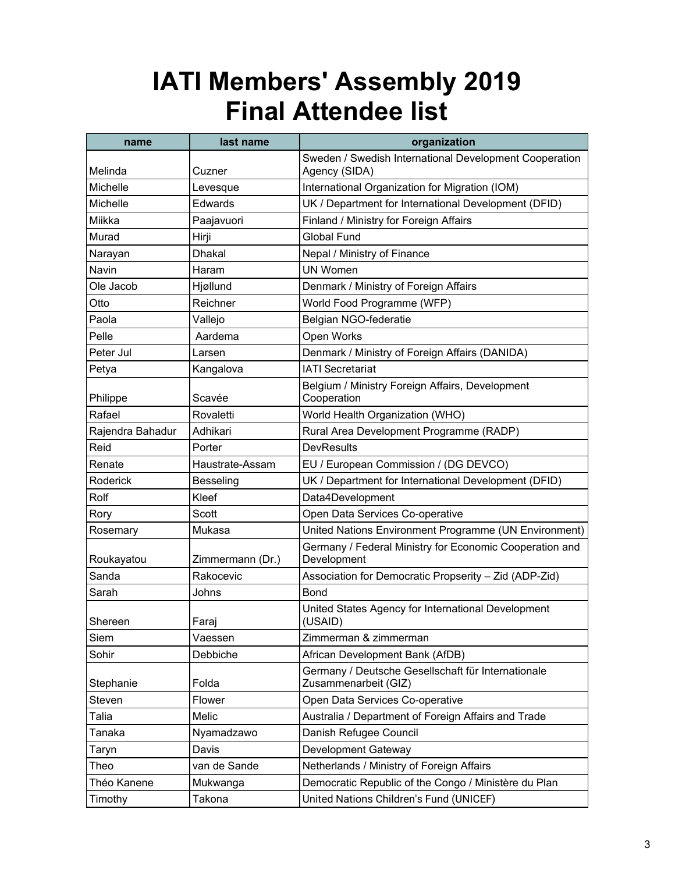| name             | last name        | organization                                                               |
|------------------|------------------|----------------------------------------------------------------------------|
| Melinda          | Cuzner           | Sweden / Swedish International Development Cooperation<br>Agency (SIDA)    |
| Michelle         | Levesque         | International Organization for Migration (IOM)                             |
| Michelle         | Edwards          | UK / Department for International Development (DFID)                       |
| Miikka           | Paajavuori       | Finland / Ministry for Foreign Affairs                                     |
| Murad            | Hirji            | <b>Global Fund</b>                                                         |
| Narayan          | <b>Dhakal</b>    | Nepal / Ministry of Finance                                                |
| Navin            | Haram            | <b>UN Women</b>                                                            |
| Ole Jacob        | Hjøllund         | Denmark / Ministry of Foreign Affairs                                      |
| Otto             | Reichner         | World Food Programme (WFP)                                                 |
| Paola            | Vallejo          | Belgian NGO-federatie                                                      |
| Pelle            | Aardema          | Open Works                                                                 |
| Peter Jul        | Larsen           | Denmark / Ministry of Foreign Affairs (DANIDA)                             |
| Petya            | Kangalova        | <b>IATI Secretariat</b>                                                    |
| Philippe         | Scavée           | Belgium / Ministry Foreign Affairs, Development<br>Cooperation             |
| Rafael           | Rovaletti        | World Health Organization (WHO)                                            |
| Rajendra Bahadur | Adhikari         | Rural Area Development Programme (RADP)                                    |
| Reid             | Porter           | <b>DevResults</b>                                                          |
| Renate           | Haustrate-Assam  | EU / European Commission / (DG DEVCO)                                      |
| Roderick         | <b>Besseling</b> | UK / Department for International Development (DFID)                       |
| Rolf             | Kleef            | Data4Development                                                           |
| Rory             | Scott            | Open Data Services Co-operative                                            |
| Rosemary         | Mukasa           | United Nations Environment Programme (UN Environment)                      |
| Roukayatou       | Zimmermann (Dr.) | Germany / Federal Ministry for Economic Cooperation and<br>Development     |
| Sanda            | Rakocevic        | Association for Democratic Propserity - Zid (ADP-Zid)                      |
| Sarah            | Johns            | <b>Bond</b>                                                                |
| Shereen          | Faraj            | United States Agency for International Development<br>(USAID)              |
| Siem             | Vaessen          | Zimmerman & zimmerman                                                      |
| Sohir            | Debbiche         | African Development Bank (AfDB)                                            |
| Stephanie        | Folda            | Germany / Deutsche Gesellschaft für Internationale<br>Zusammenarbeit (GIZ) |
| Steven           | Flower           | Open Data Services Co-operative                                            |
| Talia            | Melic            | Australia / Department of Foreign Affairs and Trade                        |
| Tanaka           | Nyamadzawo       | Danish Refugee Council                                                     |
| Taryn            | Davis            | Development Gateway                                                        |
| Theo             | van de Sande     | Netherlands / Ministry of Foreign Affairs                                  |
| Théo Kanene      | Mukwanga         | Democratic Republic of the Congo / Ministère du Plan                       |
| Timothy          | Takona           | United Nations Children's Fund (UNICEF)                                    |